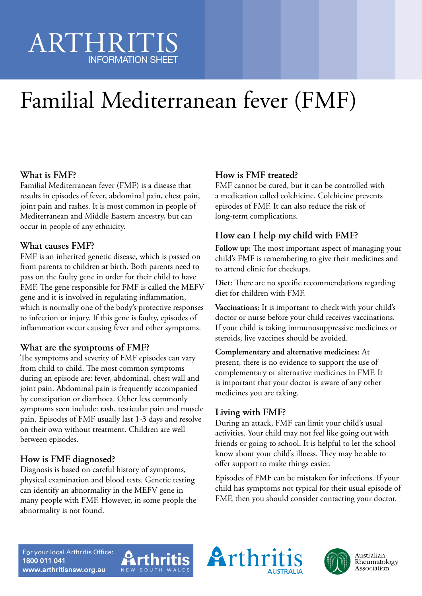## ARTHRITIS INFORMATION SHEET

# Familial Mediterranean fever (FMF)

#### **What is FMF?**

Familial Mediterranean fever (FMF) is a disease that results in episodes of fever, abdominal pain, chest pain, joint pain and rashes. It is most common in people of Mediterranean and Middle Eastern ancestry, but can occur in people of any ethnicity.

#### **What causes FMF?**

FMF is an inherited genetic disease, which is passed on from parents to children at birth. Both parents need to pass on the faulty gene in order for their child to have FMF. The gene responsible for FMF is called the MEFV gene and it is involved in regulating inflammation, which is normally one of the body's protective responses to infection or injury. If this gene is faulty, episodes of inflammation occur causing fever and other symptoms.

#### **What are the symptoms of FMF?**

The symptoms and severity of FMF episodes can vary from child to child. The most common symptoms during an episode are: fever, abdominal, chest wall and joint pain. Abdominal pain is frequently accompanied by constipation or diarrhoea. Other less commonly symptoms seen include: rash, testicular pain and muscle pain. Episodes of FMF usually last 1-3 days and resolve on their own without treatment. Children are well between episodes.

#### **How is FMF diagnosed?**

Diagnosis is based on careful history of symptoms, physical examination and blood tests. Genetic testing can identify an abnormality in the MEFV gene in many people with FMF. However, in some people the abnormality is not found.

#### **How is FMF treated?**

FMF cannot be cured, but it can be controlled with a medication called colchicine. Colchicine prevents episodes of FMF. It can also reduce the risk of long-term complications.

#### **How can I help my child with FMF?**

**Follow up:** The most important aspect of managing your child's FMF is remembering to give their medicines and to attend clinic for checkups.

**Diet:** There are no specific recommendations regarding diet for children with FMF.

**Vaccinations:** It is important to check with your child's doctor or nurse before your child receives vaccinations. If your child is taking immunosuppressive medicines or steroids, live vaccines should be avoided.

#### **Complementary and alternative medicines:** At present, there is no evidence to support the use of

complementary or alternative medicines in FMF. It is important that your doctor is aware of any other medicines you are taking.

#### **Living with FMF?**

During an attack, FMF can limit your child's usual activities. Your child may not feel like going out with friends or going to school. It is helpful to let the school know about your child's illness. They may be able to offer support to make things easier.

Episodes of FMF can be mistaken for infections. If your child has symptoms not typical for their usual episode of FMF, then you should consider contacting your doctor.

For your local Arthritis Office: 1800 011 041 www.arthritisnsw.org.au







Australian Rheumatology Association